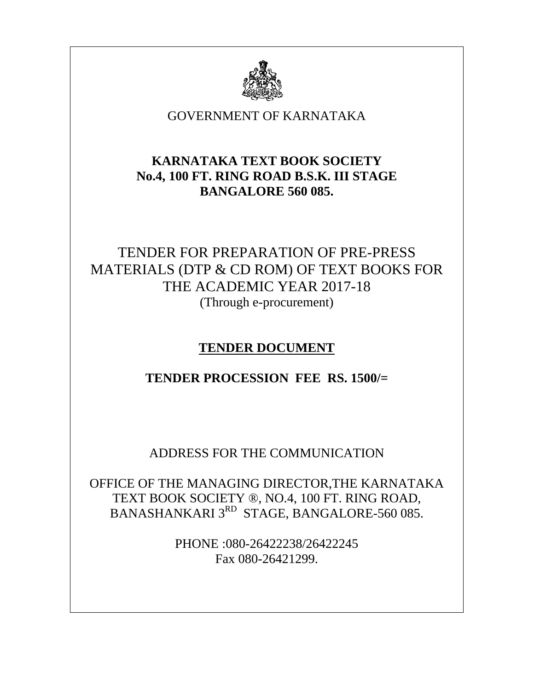

### GOVERNMENT OF KARNATAKA

### **KARNATAKA TEXT BOOK SOCIETY No.4, 100 FT. RING ROAD B.S.K. III STAGE BANGALORE 560 085.**

# TENDER FOR PREPARATION OF PRE-PRESS MATERIALS (DTP & CD ROM) OF TEXT BOOKS FOR THE ACADEMIC YEAR 2017-18 (Through e-procurement)

## **TENDER DOCUMENT**

### **TENDER PROCESSION FEE RS. 1500/=**

ADDRESS FOR THE COMMUNICATION

OFFICE OF THE MANAGING DIRECTOR,THE KARNATAKA TEXT BOOK SOCIETY ®, NO.4, 100 FT. RING ROAD, BANASHANKARI 3<sup>RD</sup> STAGE, BANGALORE-560 085.

> PHONE :080-26422238/26422245 Fax 080-26421299.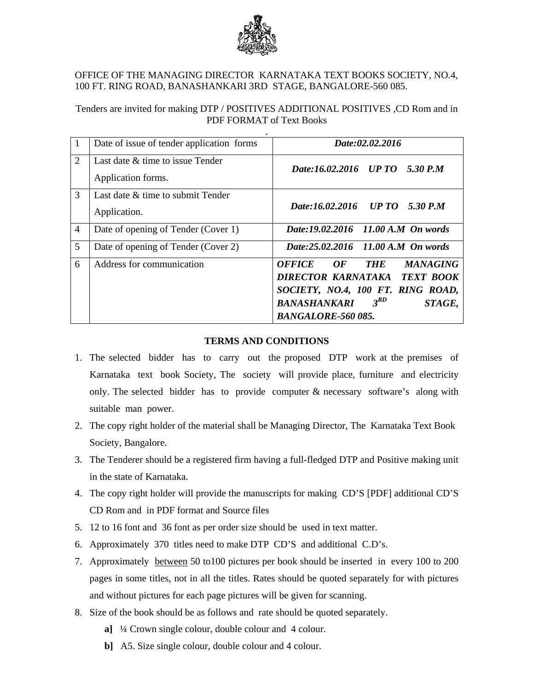

#### OFFICE OF THE MANAGING DIRECTOR KARNATAKA TEXT BOOKS SOCIETY, NO.4, 100 FT. RING ROAD, BANASHANKARI 3RD STAGE, BANGALORE-560 085.

### Tenders are invited for making DTP / POSITIVES ADDITIONAL POSITIVES ,CD Rom and in PDF FORMAT of Text Books

| $\vert 1 \vert$ | Date of issue of tender application forms              | Date:02.02.2016                                                                                                                                                                                     |
|-----------------|--------------------------------------------------------|-----------------------------------------------------------------------------------------------------------------------------------------------------------------------------------------------------|
| $\overline{2}$  | Last date & time to issue Tender<br>Application forms. | Date:16.02.2016 UP TO 5.30 P.M                                                                                                                                                                      |
| 3               | Last date $\&$ time to submit Tender<br>Application.   | Date:16.02.2016 UP TO 5.30 P.M                                                                                                                                                                      |
| $\overline{4}$  | Date of opening of Tender (Cover 1)                    | Date:19.02.2016 11.00 A.M On words                                                                                                                                                                  |
| 5               | Date of opening of Tender (Cover 2)                    | Date:25.02.2016 11.00 A.M On words                                                                                                                                                                  |
| 6               | Address for communication                              | <b>OFFICE</b><br>OF<br><b>MANAGING</b><br><b>THE</b><br>DIRECTOR KARNATAKA TEXT BOOK<br>SOCIETY, NO.4, 100 FT. RING ROAD,<br>$3^{RD}$<br><b>BANASHANKARI</b><br>STAGE,<br><b>BANGALORE-560 085.</b> |

#### **TERMS AND CONDITIONS**

- 1. The selected bidder has to carry out the proposed DTP work at the premises of Karnataka text book Society, The society will provide place, furniture and electricity only. The selected bidder has to provide computer  $\&$  necessary software's along with suitable man power.
- 2. The copy right holder of the material shall be Managing Director, The Karnataka Text Book Society, Bangalore.
- 3. The Tenderer should be a registered firm having a full-fledged DTP and Positive making unit in the state of Karnataka.
- 4. The copy right holder will provide the manuscripts for making CD'S [PDF] additional CD'S CD Rom and in PDF format and Source files
- 5. 12 to 16 font and 36 font as per order size should be used in text matter.
- 6. Approximately 370 titles need to make DTP CD'S and additional C.D's.
- 7. Approximately between 50 to100 pictures per book should be inserted in every 100 to 200 pages in some titles, not in all the titles. Rates should be quoted separately for with pictures and without pictures for each page pictures will be given for scanning.
- 8. Size of the book should be as follows and rate should be quoted separately.
	- **a]** ¼ Crown single colour, double colour and 4 colour.
	- **b]** A5. Size single colour, double colour and 4 colour.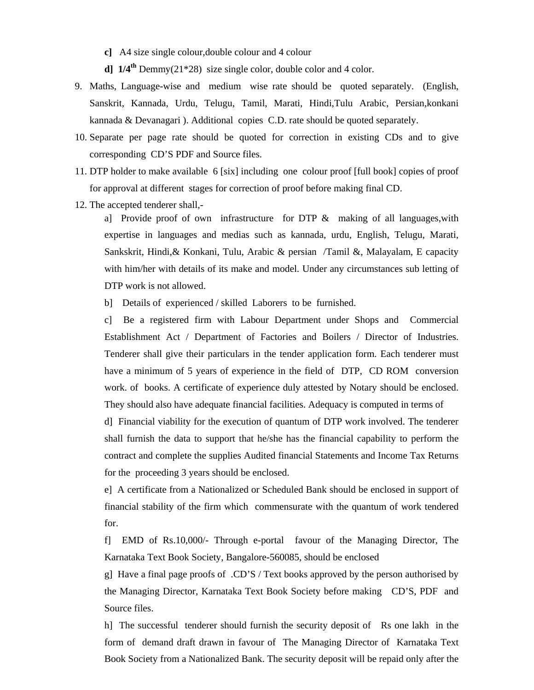**c]** A4 size single colour,double colour and 4 colour

**d] 1/4th** Demmy(21\*28) size single color, double color and 4 color.

- 9. Maths, Language-wise and medium wise rate should be quoted separately. (English, Sanskrit, Kannada, Urdu, Telugu, Tamil, Marati, Hindi,Tulu Arabic, Persian,konkani kannada & Devanagari ). Additional copies C.D. rate should be quoted separately.
- 10. Separate per page rate should be quoted for correction in existing CDs and to give corresponding CD'S PDF and Source files.
- 11. DTP holder to make available 6 [six] including one colour proof [full book] copies of proof for approval at different stages for correction of proof before making final CD.
- 12. The accepted tenderer shall,-

a] Provide proof of own infrastructure for DTP  $\&$  making of all languages, with expertise in languages and medias such as kannada, urdu, English, Telugu, Marati, Sankskrit, Hindi,& Konkani, Tulu, Arabic & persian /Tamil &, Malayalam, E capacity with him/her with details of its make and model. Under any circumstances sub letting of DTP work is not allowed.

b] Details of experienced / skilled Laborers to be furnished.

c] Be a registered firm with Labour Department under Shops and Commercial Establishment Act / Department of Factories and Boilers / Director of Industries. Tenderer shall give their particulars in the tender application form. Each tenderer must have a minimum of 5 years of experience in the field of DTP, CD ROM conversion work. of books. A certificate of experience duly attested by Notary should be enclosed. They should also have adequate financial facilities. Adequacy is computed in terms of

d] Financial viability for the execution of quantum of DTP work involved. The tenderer shall furnish the data to support that he/she has the financial capability to perform the contract and complete the supplies Audited financial Statements and Income Tax Returns for the proceeding 3 years should be enclosed.

e] A certificate from a Nationalized or Scheduled Bank should be enclosed in support of financial stability of the firm which commensurate with the quantum of work tendered for.

f] EMD of Rs.10,000/- Through e-portal favour of the Managing Director, The Karnataka Text Book Society, Bangalore-560085, should be enclosed

g] Have a final page proofs of .CD'S / Text books approved by the person authorised by the Managing Director, Karnataka Text Book Society before making CD'S, PDF and Source files.

h] The successful tenderer should furnish the security deposit of Rs one lakh in the form of demand draft drawn in favour of The Managing Director of Karnataka Text Book Society from a Nationalized Bank. The security deposit will be repaid only after the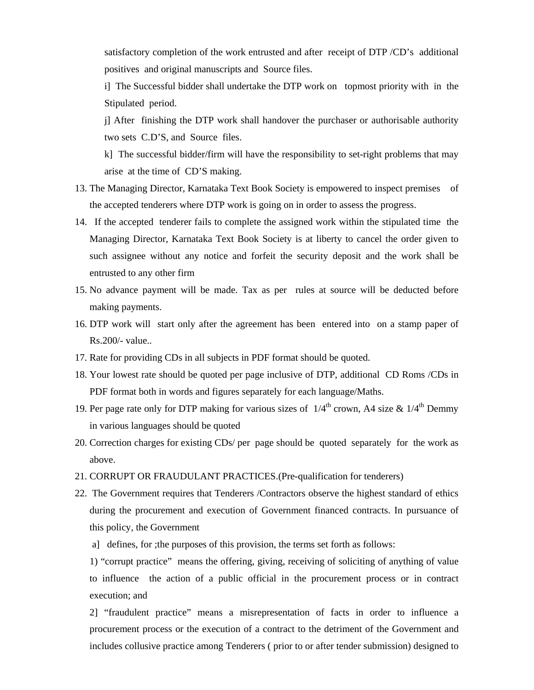satisfactory completion of the work entrusted and after receipt of DTP /CD's additional positives and original manuscripts and Source files.

i] The Successful bidder shall undertake the DTP work on topmost priority with in the Stipulated period.

j] After finishing the DTP work shall handover the purchaser or authorisable authority two sets C.D'S, and Source files.

k] The successful bidder/firm will have the responsibility to set-right problems that may arise at the time of CD'S making.

- 13. The Managing Director, Karnataka Text Book Society is empowered to inspect premises of the accepted tenderers where DTP work is going on in order to assess the progress.
- 14. If the accepted tenderer fails to complete the assigned work within the stipulated time the Managing Director, Karnataka Text Book Society is at liberty to cancel the order given to such assignee without any notice and forfeit the security deposit and the work shall be entrusted to any other firm
- 15. No advance payment will be made. Tax as per rules at source will be deducted before making payments.
- 16. DTP work will start only after the agreement has been entered into on a stamp paper of Rs.200/- value..
- 17. Rate for providing CDs in all subjects in PDF format should be quoted.
- 18. Your lowest rate should be quoted per page inclusive of DTP, additional CD Roms /CDs in PDF format both in words and figures separately for each language/Maths.
- 19. Per page rate only for DTP making for various sizes of  $1/4^{\text{th}}$  crown, A4 size &  $1/4^{\text{th}}$  Demmy in various languages should be quoted
- 20. Correction charges for existing CDs/ per page should be quoted separately for the work as above.
- 21. CORRUPT OR FRAUDULANT PRACTICES.(Pre-qualification for tenderers)
- 22. The Government requires that Tenderers /Contractors observe the highest standard of ethics during the procurement and execution of Government financed contracts. In pursuance of this policy, the Government
	- a] defines, for ;the purposes of this provision, the terms set forth as follows:

1) "corrupt practice" means the offering, giving, receiving of soliciting of anything of value to influence the action of a public official in the procurement process or in contract execution; and

2] "fraudulent practice" means a misrepresentation of facts in order to influence a procurement process or the execution of a contract to the detriment of the Government and includes collusive practice among Tenderers ( prior to or after tender submission) designed to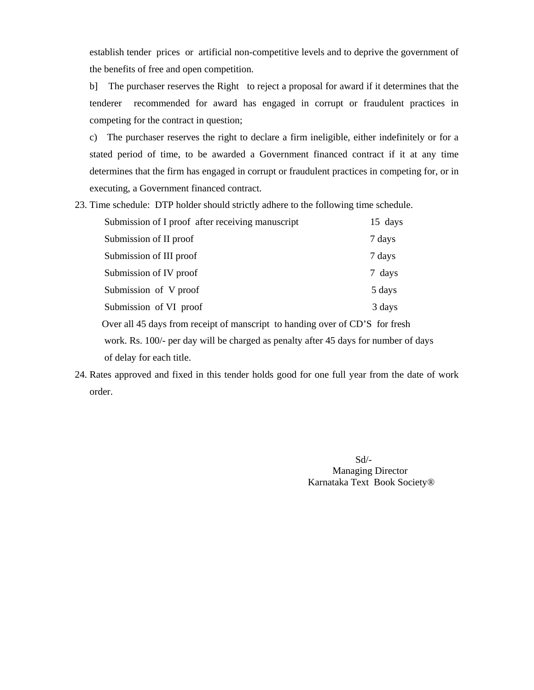establish tender prices or artificial non-competitive levels and to deprive the government of the benefits of free and open competition.

b] The purchaser reserves the Right to reject a proposal for award if it determines that the tenderer recommended for award has engaged in corrupt or fraudulent practices in competing for the contract in question;

c) The purchaser reserves the right to declare a firm ineligible, either indefinitely or for a stated period of time, to be awarded a Government financed contract if it at any time determines that the firm has engaged in corrupt or fraudulent practices in competing for, or in executing, a Government financed contract.

23. Time schedule: DTP holder should strictly adhere to the following time schedule.

| Submission of I proof after receiving manuscript                             | 15 days |
|------------------------------------------------------------------------------|---------|
| Submission of II proof                                                       | 7 days  |
| Submission of III proof                                                      | 7 days  |
| Submission of IV proof                                                       | 7 days  |
| Submission of V proof                                                        | 5 days  |
| Submission of VI proof                                                       | 3 days  |
| Over all 45 days from receipt of manscript to handing over of CD'S for fresh |         |

 work. Rs. 100/- per day will be charged as penalty after 45 days for number of days of delay for each title.

24. Rates approved and fixed in this tender holds good for one full year from the date of work order.

 Sd/- Managing Director Karnataka Text Book Society®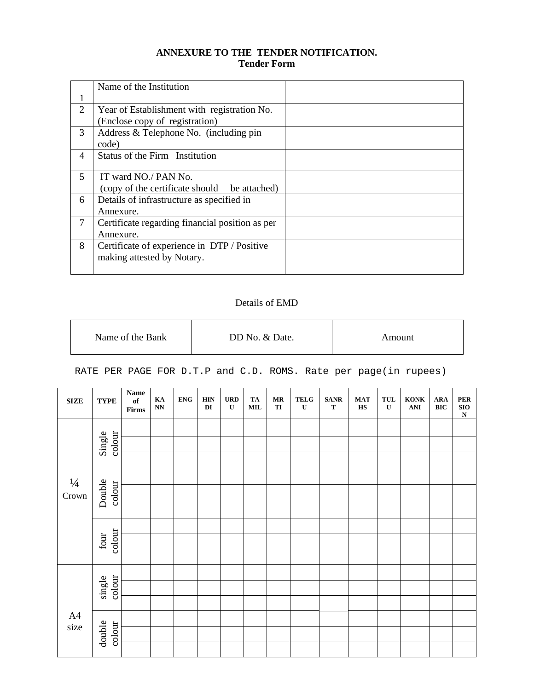#### **ANNEXURE TO THE TENDER NOTIFICATION. Tender Form**

|                          | Name of the Institution                         |  |
|--------------------------|-------------------------------------------------|--|
|                          |                                                 |  |
| 2                        | Year of Establishment with registration No.     |  |
|                          | (Enclose copy of registration)                  |  |
| 3                        | Address & Telephone No. (including pin          |  |
|                          | code)                                           |  |
| $\overline{\mathcal{A}}$ | Status of the Firm Institution                  |  |
|                          |                                                 |  |
| 5.                       | IT ward NO./ PAN No.                            |  |
|                          | (copy of the certificate should be attached)    |  |
| 6                        | Details of infrastructure as specified in       |  |
|                          | Annexure.                                       |  |
| 7                        | Certificate regarding financial position as per |  |
|                          | Annexure.                                       |  |
| 8                        | Certificate of experience in DTP / Positive     |  |
|                          | making attested by Notary.                      |  |
|                          |                                                 |  |

### Details of EMD

| Name of the Bank | DD No. & Date. | Amount |
|------------------|----------------|--------|

RATE PER PAGE FOR D.T.P and C.D. ROMS. Rate per page(in rupees)

| ${\bf SIZE}$           | <b>TYPE</b>      | $\mathbf{Name}$<br>$\mathbf{of}$<br>$\ensuremath{\text{\textbf{Firms}}}$ | $\mathbf{K}\mathbf{A}$<br>$\mathbf{N}\mathbf{N}$ | <b>ENG</b> | <b>HIN</b><br>DI | ${\bf U}{\bf R}{\bf D}$<br>$\mathbf U$ | TA<br>$\bf MIL$ | $\bf{MR}$<br>TI | ${\bf TELG}$<br>$\mathbf U$ | $\operatorname{\mathbf{S}}\nolimits\!\operatorname{\mathbf{AN}}\nolimits\! \mathbf{R}$<br>${\bf T}$ | $\mathbf{MAT}$<br>$\mathbf{H}\mathbf{S}$ | $\ensuremath{\mathbf{TUL}}$<br>$\mathbf U$ | $\bf KONK$<br>$\mathbf{ANI}$ | ${\bf A}{\bf R}{\bf A}$<br>$\mathbf{BIC}$ | ${\bf PER}$<br>${\bf SIO}$<br>${\bf N}$ |
|------------------------|------------------|--------------------------------------------------------------------------|--------------------------------------------------|------------|------------------|----------------------------------------|-----------------|-----------------|-----------------------------|-----------------------------------------------------------------------------------------------------|------------------------------------------|--------------------------------------------|------------------------------|-------------------------------------------|-----------------------------------------|
| $\frac{1}{4}$<br>Crown | colour<br>Single |                                                                          |                                                  |            |                  |                                        |                 |                 |                             |                                                                                                     |                                          |                                            |                              |                                           |                                         |
|                        |                  |                                                                          |                                                  |            |                  |                                        |                 |                 |                             |                                                                                                     |                                          |                                            |                              |                                           |                                         |
|                        | Double<br>colour |                                                                          |                                                  |            |                  |                                        |                 |                 |                             |                                                                                                     |                                          |                                            |                              |                                           |                                         |
|                        |                  |                                                                          |                                                  |            |                  |                                        |                 |                 |                             |                                                                                                     |                                          |                                            |                              |                                           |                                         |
|                        | colour<br>four   |                                                                          |                                                  |            |                  |                                        |                 |                 |                             |                                                                                                     |                                          |                                            |                              |                                           |                                         |
|                        |                  |                                                                          |                                                  |            |                  |                                        |                 |                 |                             |                                                                                                     |                                          |                                            |                              |                                           |                                         |
|                        |                  |                                                                          |                                                  |            |                  |                                        |                 |                 |                             |                                                                                                     |                                          |                                            |                              |                                           |                                         |
| A4<br>size             | single<br>colour |                                                                          |                                                  |            |                  |                                        |                 |                 |                             |                                                                                                     |                                          |                                            |                              |                                           |                                         |
|                        |                  |                                                                          |                                                  |            |                  |                                        |                 |                 |                             |                                                                                                     |                                          |                                            |                              |                                           |                                         |
|                        | double<br>colour |                                                                          |                                                  |            |                  |                                        |                 |                 |                             |                                                                                                     |                                          |                                            |                              |                                           |                                         |
|                        |                  |                                                                          |                                                  |            |                  |                                        |                 |                 |                             |                                                                                                     |                                          |                                            |                              |                                           |                                         |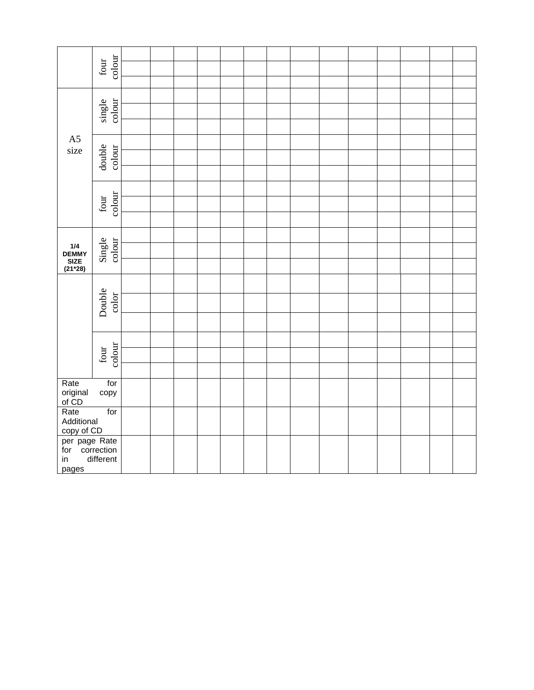|                                                                   | colour<br>four                   |  |  |  |  |  |  |  |
|-------------------------------------------------------------------|----------------------------------|--|--|--|--|--|--|--|
|                                                                   |                                  |  |  |  |  |  |  |  |
|                                                                   |                                  |  |  |  |  |  |  |  |
|                                                                   | single<br>colour                 |  |  |  |  |  |  |  |
|                                                                   |                                  |  |  |  |  |  |  |  |
| A5                                                                |                                  |  |  |  |  |  |  |  |
| size                                                              |                                  |  |  |  |  |  |  |  |
|                                                                   | double<br>colour                 |  |  |  |  |  |  |  |
|                                                                   |                                  |  |  |  |  |  |  |  |
|                                                                   |                                  |  |  |  |  |  |  |  |
|                                                                   | four<br>colour                   |  |  |  |  |  |  |  |
|                                                                   |                                  |  |  |  |  |  |  |  |
|                                                                   |                                  |  |  |  |  |  |  |  |
| $\begin{array}{c} 1/4 \\ \text{DEMMY} \\ \text{SIZE} \end{array}$ | Single<br>colour                 |  |  |  |  |  |  |  |
| $(21*28)$                                                         |                                  |  |  |  |  |  |  |  |
|                                                                   |                                  |  |  |  |  |  |  |  |
|                                                                   |                                  |  |  |  |  |  |  |  |
|                                                                   | Double<br>$\operatorname{color}$ |  |  |  |  |  |  |  |
|                                                                   |                                  |  |  |  |  |  |  |  |
|                                                                   |                                  |  |  |  |  |  |  |  |
|                                                                   |                                  |  |  |  |  |  |  |  |
|                                                                   | four<br>colour                   |  |  |  |  |  |  |  |
|                                                                   |                                  |  |  |  |  |  |  |  |
| Rate                                                              | for<br>copy                      |  |  |  |  |  |  |  |
| original<br>of CD<br>Rate                                         |                                  |  |  |  |  |  |  |  |
| Additional                                                        | for                              |  |  |  |  |  |  |  |
|                                                                   |                                  |  |  |  |  |  |  |  |
| copy of CD<br>per page Rate<br>for correction                     |                                  |  |  |  |  |  |  |  |
| in                                                                | different                        |  |  |  |  |  |  |  |
| pages                                                             |                                  |  |  |  |  |  |  |  |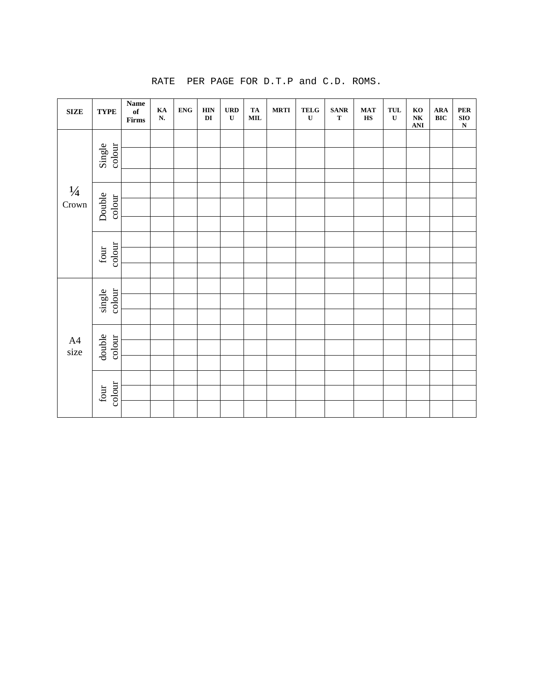| <b>SIZE</b>            | <b>TYPE</b>                     | Name<br>$\mathbf{of}% =\mathbf{A}\mathbf{A}$<br>$\ensuremath{\text{\textbf{Firms}}}$ | KA<br>${\bf N}.$ | ${\bf ENG}$ | <b>HIN</b><br>$\mathbf{D}\mathbf{I}$ | <b>URD</b><br>$\mathbf U$ | ${\bf TA}$<br>$\textbf{MIL}$ | <b>MRTI</b> | <b>TELG</b><br>$\mathbf U$ | $\textbf{SANR}$<br>$\mathbf T$ | <b>MAT</b><br>$\mathbf{H}\mathbf{S}$ | <b>TUL</b><br>$\mathbf U$ | KO<br>N <sub>K</sub><br>$\mathbf{ANI}$ | ARA<br><b>BIC</b> | PER<br>SIO<br>N |
|------------------------|---------------------------------|--------------------------------------------------------------------------------------|------------------|-------------|--------------------------------------|---------------------------|------------------------------|-------------|----------------------------|--------------------------------|--------------------------------------|---------------------------|----------------------------------------|-------------------|-----------------|
|                        |                                 |                                                                                      |                  |             |                                      |                           |                              |             |                            |                                |                                      |                           |                                        |                   |                 |
| $\frac{1}{4}$<br>Crown | Single<br>colour                |                                                                                      |                  |             |                                      |                           |                              |             |                            |                                |                                      |                           |                                        |                   |                 |
|                        |                                 |                                                                                      |                  |             |                                      |                           |                              |             |                            |                                |                                      |                           |                                        |                   |                 |
|                        |                                 |                                                                                      |                  |             |                                      |                           |                              |             |                            |                                |                                      |                           |                                        |                   |                 |
|                        | Double<br>colour                |                                                                                      |                  |             |                                      |                           |                              |             |                            |                                |                                      |                           |                                        |                   |                 |
|                        |                                 |                                                                                      |                  |             |                                      |                           |                              |             |                            |                                |                                      |                           |                                        |                   |                 |
|                        |                                 |                                                                                      |                  |             |                                      |                           |                              |             |                            |                                |                                      |                           |                                        |                   |                 |
|                        | colour<br>$\operatorname{four}$ |                                                                                      |                  |             |                                      |                           |                              |             |                            |                                |                                      |                           |                                        |                   |                 |
|                        |                                 |                                                                                      |                  |             |                                      |                           |                              |             |                            |                                |                                      |                           |                                        |                   |                 |
|                        |                                 |                                                                                      |                  |             |                                      |                           |                              |             |                            |                                |                                      |                           |                                        |                   |                 |
|                        | colour<br>single                |                                                                                      |                  |             |                                      |                           |                              |             |                            |                                |                                      |                           |                                        |                   |                 |
|                        |                                 |                                                                                      |                  |             |                                      |                           |                              |             |                            |                                |                                      |                           |                                        |                   |                 |
|                        |                                 |                                                                                      |                  |             |                                      |                           |                              |             |                            |                                |                                      |                           |                                        |                   |                 |
| $A4$<br>size           | double<br>colour                |                                                                                      |                  |             |                                      |                           |                              |             |                            |                                |                                      |                           |                                        |                   |                 |
|                        |                                 |                                                                                      |                  |             |                                      |                           |                              |             |                            |                                |                                      |                           |                                        |                   |                 |
|                        |                                 |                                                                                      |                  |             |                                      |                           |                              |             |                            |                                |                                      |                           |                                        |                   |                 |
|                        | colour<br>four                  |                                                                                      |                  |             |                                      |                           |                              |             |                            |                                |                                      |                           |                                        |                   |                 |
|                        |                                 |                                                                                      |                  |             |                                      |                           |                              |             |                            |                                |                                      |                           |                                        |                   |                 |

RATE PER PAGE FOR D.T.P and C.D. ROMS.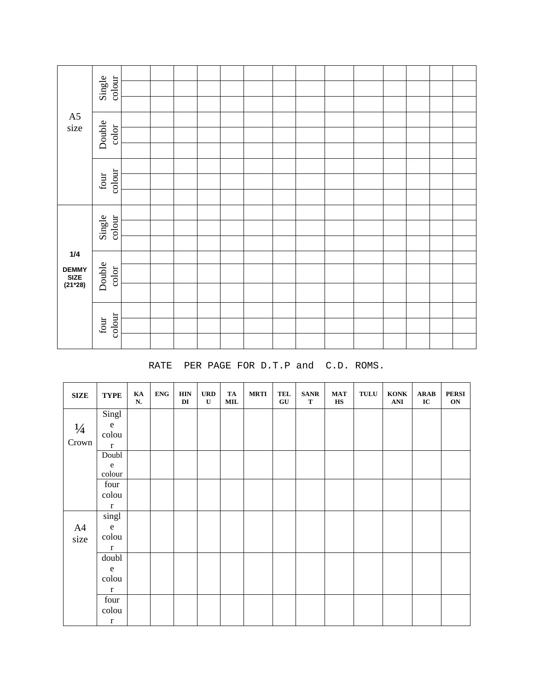|                                            | Single<br>colour                 |  |  |  |  |  |  |  |
|--------------------------------------------|----------------------------------|--|--|--|--|--|--|--|
|                                            |                                  |  |  |  |  |  |  |  |
| $\rm A5$<br>size                           |                                  |  |  |  |  |  |  |  |
|                                            | Double<br>color                  |  |  |  |  |  |  |  |
|                                            |                                  |  |  |  |  |  |  |  |
|                                            |                                  |  |  |  |  |  |  |  |
|                                            | colour<br>$\operatorname{four}$  |  |  |  |  |  |  |  |
|                                            |                                  |  |  |  |  |  |  |  |
|                                            | colour<br>Single                 |  |  |  |  |  |  |  |
|                                            |                                  |  |  |  |  |  |  |  |
|                                            |                                  |  |  |  |  |  |  |  |
| $1/4$<br><b>DEMMY<br/>SIZE<br/>(21*28)</b> |                                  |  |  |  |  |  |  |  |
|                                            | Double<br>$\operatorname{color}$ |  |  |  |  |  |  |  |
|                                            |                                  |  |  |  |  |  |  |  |
|                                            |                                  |  |  |  |  |  |  |  |
|                                            | colour<br>$\operatorname{four}$  |  |  |  |  |  |  |  |
|                                            |                                  |  |  |  |  |  |  |  |

#### RATE PER PAGE FOR D.T.P and C.D. ROMS.

| <b>SIZE</b>   | <b>TYPE</b>        | $\mathbf{K}\mathbf{A}$<br>N. | <b>ENG</b> | <b>HIN</b><br>DI | <b>URD</b><br>${\bf U}$ | TA<br>$\bf MIL$ | <b>MRTI</b> | TEL<br>${\bf G}{\bf U}$ | <b>SANR</b><br>$\mathbf T$ | <b>MAT</b><br>$\mathbf{H}\mathbf{S}$ | $\ensuremath{\mathbf{TULU}}$ | <b>KONK</b><br>$\bf ANI$ | ${\bf ARAB}$<br>IC | <b>PERSI</b><br>ON |
|---------------|--------------------|------------------------------|------------|------------------|-------------------------|-----------------|-------------|-------------------------|----------------------------|--------------------------------------|------------------------------|--------------------------|--------------------|--------------------|
|               | Singl              |                              |            |                  |                         |                 |             |                         |                            |                                      |                              |                          |                    |                    |
| $\frac{1}{4}$ | ${\bf e}$          |                              |            |                  |                         |                 |             |                         |                            |                                      |                              |                          |                    |                    |
| Crown         | colou              |                              |            |                  |                         |                 |             |                         |                            |                                      |                              |                          |                    |                    |
|               | $\mathbf r$        |                              |            |                  |                         |                 |             |                         |                            |                                      |                              |                          |                    |                    |
|               | Doubl <sub>1</sub> |                              |            |                  |                         |                 |             |                         |                            |                                      |                              |                          |                    |                    |
|               | ${\bf e}$          |                              |            |                  |                         |                 |             |                         |                            |                                      |                              |                          |                    |                    |
|               | colour             |                              |            |                  |                         |                 |             |                         |                            |                                      |                              |                          |                    |                    |
|               | four               |                              |            |                  |                         |                 |             |                         |                            |                                      |                              |                          |                    |                    |
|               | colou              |                              |            |                  |                         |                 |             |                         |                            |                                      |                              |                          |                    |                    |
|               | $\bf r$            |                              |            |                  |                         |                 |             |                         |                            |                                      |                              |                          |                    |                    |
|               | singl              |                              |            |                  |                         |                 |             |                         |                            |                                      |                              |                          |                    |                    |
| A4            | ${\bf e}$          |                              |            |                  |                         |                 |             |                         |                            |                                      |                              |                          |                    |                    |
| size          | colou              |                              |            |                  |                         |                 |             |                         |                            |                                      |                              |                          |                    |                    |
|               | $\bf r$            |                              |            |                  |                         |                 |             |                         |                            |                                      |                              |                          |                    |                    |
|               | doubl              |                              |            |                  |                         |                 |             |                         |                            |                                      |                              |                          |                    |                    |
|               | ${\bf e}$          |                              |            |                  |                         |                 |             |                         |                            |                                      |                              |                          |                    |                    |
|               | colou              |                              |            |                  |                         |                 |             |                         |                            |                                      |                              |                          |                    |                    |
|               | $\mathbf r$        |                              |            |                  |                         |                 |             |                         |                            |                                      |                              |                          |                    |                    |
|               | four               |                              |            |                  |                         |                 |             |                         |                            |                                      |                              |                          |                    |                    |
|               | colou              |                              |            |                  |                         |                 |             |                         |                            |                                      |                              |                          |                    |                    |
|               | $\mathbf r$        |                              |            |                  |                         |                 |             |                         |                            |                                      |                              |                          |                    |                    |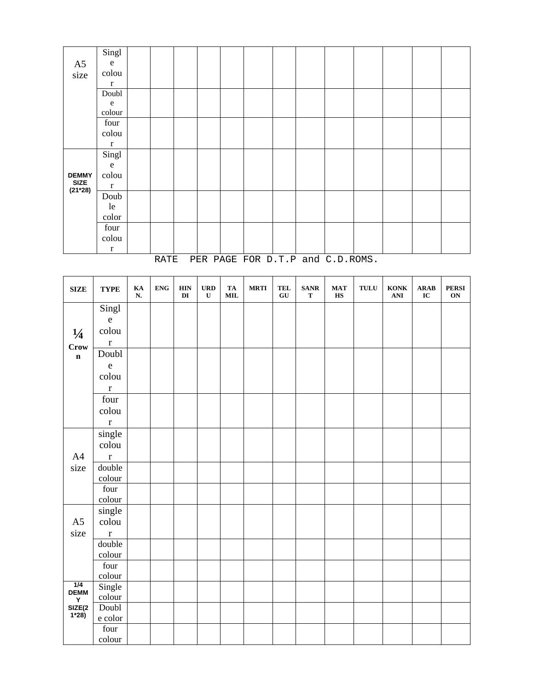|                          | Singl     |  |  |  |  |  |  |  |
|--------------------------|-----------|--|--|--|--|--|--|--|
| ${\rm A}5$               | ${\rm e}$ |  |  |  |  |  |  |  |
| size                     | colou     |  |  |  |  |  |  |  |
|                          | $\bf r$   |  |  |  |  |  |  |  |
|                          | Doubl     |  |  |  |  |  |  |  |
|                          | ${\bf e}$ |  |  |  |  |  |  |  |
|                          | colour    |  |  |  |  |  |  |  |
|                          | four      |  |  |  |  |  |  |  |
|                          | colou     |  |  |  |  |  |  |  |
|                          | $\bf r$   |  |  |  |  |  |  |  |
|                          | Singl     |  |  |  |  |  |  |  |
|                          | ${\bf e}$ |  |  |  |  |  |  |  |
| <b>DEMMY</b>             | colou     |  |  |  |  |  |  |  |
| <b>SIZE</b><br>$(21*28)$ | $\bf r$   |  |  |  |  |  |  |  |
|                          | Doub      |  |  |  |  |  |  |  |
|                          | le        |  |  |  |  |  |  |  |
|                          | color     |  |  |  |  |  |  |  |
|                          | four      |  |  |  |  |  |  |  |
|                          | colou     |  |  |  |  |  |  |  |
|                          | $\bf r$   |  |  |  |  |  |  |  |

RATE PER PAGE FOR D.T.P and C.D.ROMS.

| <b>SIZE</b>      | <b>TYPE</b>                           | KA<br>${\bf N}.$ | <b>ENG</b> | <b>HIN</b><br>$\mathbf{D}\mathbf{I}$ | <b>URD</b><br>$\mathbf U$ | TA<br>$\textbf{MIL}$ | $\operatorname{\mathbf{MRTI}}$ | <b>TEL</b><br>${\bf G}{\bf U}$ | <b>SANR</b><br>$\mathbf T$ | $\mathbf{MAT}$<br>$\mathbf{H}\mathbf{S}$ | $\ensuremath{\mathbf{TULU}}$ | <b>KONK</b><br>$\mathbf{ANI}$ | <b>ARAB</b><br>$\bf IC$ | <b>PERSI</b><br>ON |
|------------------|---------------------------------------|------------------|------------|--------------------------------------|---------------------------|----------------------|--------------------------------|--------------------------------|----------------------------|------------------------------------------|------------------------------|-------------------------------|-------------------------|--------------------|
|                  | Singl                                 |                  |            |                                      |                           |                      |                                |                                |                            |                                          |                              |                               |                         |                    |
|                  | $\mathbf{e}% _{t}\left( t_{0}\right)$ |                  |            |                                      |                           |                      |                                |                                |                            |                                          |                              |                               |                         |                    |
| $\frac{1}{4}$    | colou                                 |                  |            |                                      |                           |                      |                                |                                |                            |                                          |                              |                               |                         |                    |
| Crow             | $\mathbf r$                           |                  |            |                                      |                           |                      |                                |                                |                            |                                          |                              |                               |                         |                    |
| $\mathbf n$      | Doubl                                 |                  |            |                                      |                           |                      |                                |                                |                            |                                          |                              |                               |                         |                    |
|                  | $\mathbf e$                           |                  |            |                                      |                           |                      |                                |                                |                            |                                          |                              |                               |                         |                    |
|                  | colou                                 |                  |            |                                      |                           |                      |                                |                                |                            |                                          |                              |                               |                         |                    |
|                  | $\mathbf r$                           |                  |            |                                      |                           |                      |                                |                                |                            |                                          |                              |                               |                         |                    |
|                  | $\operatorname{four}$                 |                  |            |                                      |                           |                      |                                |                                |                            |                                          |                              |                               |                         |                    |
|                  | colou                                 |                  |            |                                      |                           |                      |                                |                                |                            |                                          |                              |                               |                         |                    |
|                  | $\mathbf r$                           |                  |            |                                      |                           |                      |                                |                                |                            |                                          |                              |                               |                         |                    |
|                  | $\overline{\text{single}}$            |                  |            |                                      |                           |                      |                                |                                |                            |                                          |                              |                               |                         |                    |
|                  | colou                                 |                  |            |                                      |                           |                      |                                |                                |                            |                                          |                              |                               |                         |                    |
| A4               | $\mathbf r$                           |                  |            |                                      |                           |                      |                                |                                |                            |                                          |                              |                               |                         |                    |
| size             | double                                |                  |            |                                      |                           |                      |                                |                                |                            |                                          |                              |                               |                         |                    |
|                  | colour                                |                  |            |                                      |                           |                      |                                |                                |                            |                                          |                              |                               |                         |                    |
|                  | $\operatorname{four}$                 |                  |            |                                      |                           |                      |                                |                                |                            |                                          |                              |                               |                         |                    |
|                  | colour                                |                  |            |                                      |                           |                      |                                |                                |                            |                                          |                              |                               |                         |                    |
| A <sub>5</sub>   | single                                |                  |            |                                      |                           |                      |                                |                                |                            |                                          |                              |                               |                         |                    |
| size             | colou                                 |                  |            |                                      |                           |                      |                                |                                |                            |                                          |                              |                               |                         |                    |
|                  | $\mathbf r$<br>double                 |                  |            |                                      |                           |                      |                                |                                |                            |                                          |                              |                               |                         |                    |
|                  | colour                                |                  |            |                                      |                           |                      |                                |                                |                            |                                          |                              |                               |                         |                    |
|                  | four                                  |                  |            |                                      |                           |                      |                                |                                |                            |                                          |                              |                               |                         |                    |
|                  | colour                                |                  |            |                                      |                           |                      |                                |                                |                            |                                          |                              |                               |                         |                    |
| 1/4              | Single                                |                  |            |                                      |                           |                      |                                |                                |                            |                                          |                              |                               |                         |                    |
| <b>DEMM</b><br>Y | colour                                |                  |            |                                      |                           |                      |                                |                                |                            |                                          |                              |                               |                         |                    |
| SIZE(2<br>$1*28$ | $\operatorname{Double}$               |                  |            |                                      |                           |                      |                                |                                |                            |                                          |                              |                               |                         |                    |
|                  | e color                               |                  |            |                                      |                           |                      |                                |                                |                            |                                          |                              |                               |                         |                    |
|                  | four                                  |                  |            |                                      |                           |                      |                                |                                |                            |                                          |                              |                               |                         |                    |
|                  | colour                                |                  |            |                                      |                           |                      |                                |                                |                            |                                          |                              |                               |                         |                    |